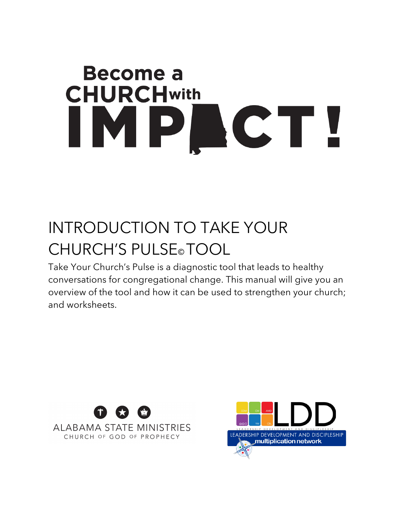# **Become a CHURCHwith** IMPLCT!

# INTRODUCTION TO TAKE YOUR CHURCH'S PULSE© TOOL

Take Your Church's Pulse is a diagnostic tool that leads to healthy conversations for congregational change. This manual will give you an overview of the tool and how it can be used to strengthen your church; and worksheets.



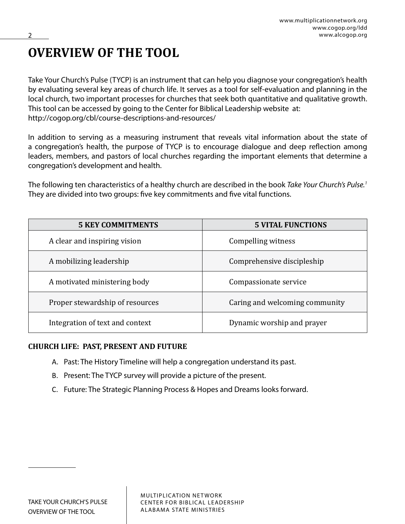### **OVERVIEW OF THE TOOL**

Take Your Church's Pulse (TYCP) is an instrument that can help you diagnose your congregation's health by evaluating several key areas of church life. It serves as a tool for self-evaluation and planning in the local church, two important processes for churches that seek both quantitative and qualitative growth. This tool can be accessed by going to the Center for Biblical Leadership website at: http://cogop.org/cbl/course-descriptions-and-resources/

In addition to serving as a measuring instrument that reveals vital information about the state of a congregation's health, the purpose of TYCP is to encourage dialogue and deep reflection among leaders, members, and pastors of local churches regarding the important elements that determine a congregation's development and health.

The following ten characteristics of a healthy church are described in the book *Take Your Church's Pulse.1* They are divided into two groups: five key commitments and five vital functions.

| <b>5 KEY COMMITMENTS</b>        | <b>5 VITAL FUNCTIONS</b>       |
|---------------------------------|--------------------------------|
| A clear and inspiring vision    | Compelling witness             |
| A mobilizing leadership         | Comprehensive discipleship     |
| A motivated ministering body    | Compassionate service          |
| Proper stewardship of resources | Caring and welcoming community |
| Integration of text and context | Dynamic worship and prayer     |

### **CHURCH LIFE: PAST, PRESENT AND FUTURE**

- A. Past: The History Timeline will help a congregation understand its past.
- B. Present: The TYCP survey will provide a picture of the present.
- C. Future: The Strategic Planning Process & Hopes and Dreams looks forward.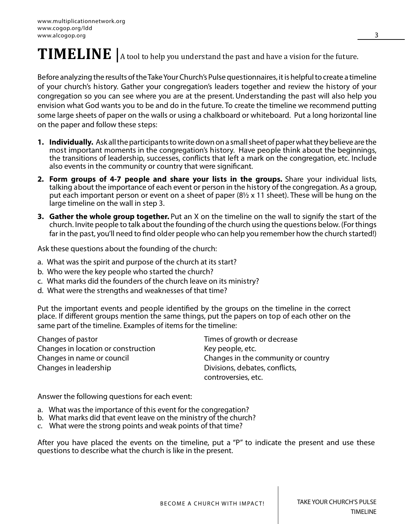# **TIMELINE** A tool to help you understand the past and have a vision for the future.

Before analyzing the results of the Take Your Church's Pulse questionnaires, it is helpful to create a timeline of your church's history. Gather your congregation's leaders together and review the history of your congregation so you can see where you are at the present. Understanding the past will also help you envision what God wants you to be and do in the future. To create the timeline we recommend putting some large sheets of paper on the walls or using a chalkboard or whiteboard. Put a long horizontal line on the paper and follow these steps:

- **1. Individually.** Ask all the participants to write down on a small sheet of paper what they believe are the most important moments in the congregation's history. Have people think about the beginnings, the transitions of leadership, successes, conflicts that left a mark on the congregation, etc. Include also events in the community or country that were significant.
- **2. Form groups of 4-7 people and share your lists in the groups.** Share your individual lists, talking about the importance of each event or person in the history of the congregation. As a group, put each important person or event on a sheet of paper  $(8\frac{1}{2} \times 11)$  sheet). These will be hung on the large timeline on the wall in step 3.
- **3. Gather the whole group together.** Put an X on the timeline on the wall to signify the start of the church. Invite people to talk about the founding of the church using the questions below. (For things far in the past, you'll need to find older people who can help you remember how the church started!)

Ask these questions about the founding of the church:

- a. What was the spirit and purpose of the church at its start?
- b. Who were the key people who started the church?
- c. What marks did the founders of the church leave on its ministry?
- d. What were the strengths and weaknesses of that time?

Put the important events and people identified by the groups on the timeline in the correct place. If different groups mention the same things, put the papers on top of each other on the same part of the timeline. Examples of items for the timeline:

Changes of pastor Times of growth or decrease Changes in location or construction Key people, etc. Changes in name or council Changes in the community or country Changes in leadership **Divisions**, debates, conflicts,

controversies, etc.

Answer the following questions for each event:

- a. What was the importance of this event for the congregation?
- b. What marks did that event leave on the ministry of the church?
- c. What were the strong points and weak points of that time?

After you have placed the events on the timeline, put a "P" to indicate the present and use these questions to describe what the church is like in the present.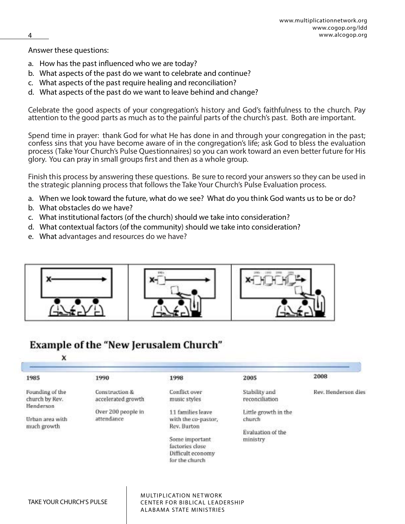Answer these questions:

- a. How has the past influenced who we are today?
- b. What aspects of the past do we want to celebrate and continue?
- c. What aspects of the past require healing and reconciliation?
- d. What aspects of the past do we want to leave behind and change?

Celebrate the good aspects of your congregation's history and God's faithfulness to the church. Pay attention to the good parts as much as to the painful parts of the church's past. Both are important.

Spend time in prayer: thank God for what He has done in and through your congregation in the past; confess sins that you have become aware of in the congregation's life; ask God to bless the evaluation process (Take Your Church's Pulse Questionnaires) so you can work toward an even better future for His glory. You can pray in small groups first and then as a whole group.

Finish this process by answering these questions. Be sure to record your answers so they can be used in the strategic planning process that follows the Take Your Church's Pulse Evaluation process.

- a. When we look toward the future, what do we see? What do you think God wants us to be or do?
- b. What obstacles do we have?
- c. What institutional factors (of the church) should we take into consideration?
- d. What contextual factors (of the community) should we take into consideration?
- e. What advantages and resources do we have?



### **Example of the "New Jerusalem Church"**

### x

| 1985                                        | 1990                                 | 1998                                                                                                                                 | 2005                                                            | 2008                |
|---------------------------------------------|--------------------------------------|--------------------------------------------------------------------------------------------------------------------------------------|-----------------------------------------------------------------|---------------------|
| Founding of the<br>church by Rev.           | Construction &<br>accelerated growth | Conflict over<br>music styles                                                                                                        | Stability and<br>reconciliation                                 | Rev. Henderson dies |
| Henderson<br>Urban area with<br>much growth | Over 200 people in<br>attendance     | 11 families leave.<br>with the co-pastor,<br>Rev. Burton<br>Some important<br>factories close<br>Difficult economy<br>for the church | Little growth in the<br>church<br>Evaluation of the<br>ministry |                     |

MULTIPLICATION NETWORK CENTER FOR BIBLICAL LEADERSHIP ALABAMA STATE MINISTRIES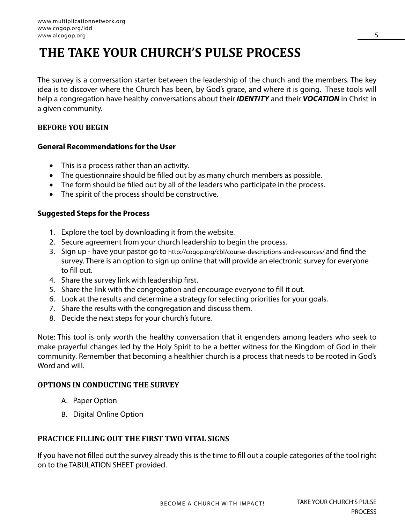### **THE TAKE YOUR CHURCH'S PULSE PROCESS**

The survey is a conversation starter between the leadership of the church and the members. The key idea is to discover where the Church has been, by God's grace, and where it is going. These tools will help a congregation have healthy conversations about their *IDENTITY* and their *VOCATION* in Christ in a given community.

### **BEFORE YOU BEGIN**

### **General Recommendations for the User**

- This is a process rather than an activity.
- The questionnaire should be filled out by as many church members as possible.
- The form should be filled out by all of the leaders who participate in the process.
- The spirit of the process should be constructive.

### **Suggested Steps for the Process**

- 1. Explore the tool by downloading it from the website.
- 2. Secure agreement from your church leadership to begin the process.
- 3. Sign up have your pastor go to http://cogop.org/cbl/course-descriptions-and-resources/ and find the survey. There is an option to sign up online that will provide an electronic survey for everyone to fill out.
- 4. Share the survey link with leadership first.
- 5. Share the link with the congregation and encourage everyone to fill it out.
- 6. Look at the results and determine a strategy for selecting priorities for your goals.
- 7. Share the results with the congregation and discuss them.
- 8. Decide the next steps for your church's future.

Note: This tool is only worth the healthy conversation that it engenders among leaders who seek to make prayerful changes led by the Holy Spirit to be a better witness for the Kingdom of God in their community. Remember that becoming a healthier church is a process that needs to be rooted in God's Word and will

### **OPTIONS IN CONDUCTING THE SURVEY**

- A. Paper Option
- B. Digital Online Option

### **PRACTICE FILLING OUT THE FIRST TWO VITAL SIGNS**

If you have not filled out the survey already this is the time to fill out a couple categories of the tool right on to the TABULATION SHEET provided.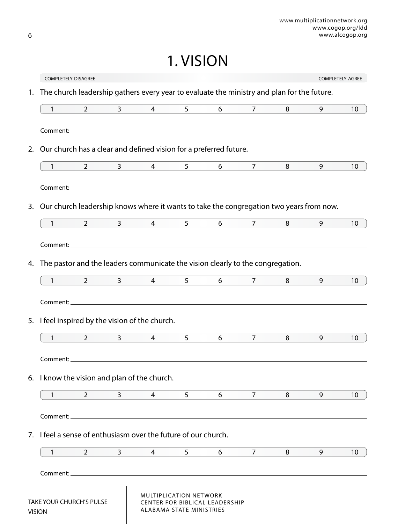1. VISION

|    | <b>COMPLETELY DISAGREE</b>                                                                 |                |                        |                |                                                           |                                       |                   |   |   | COMPLETELY AGREE |
|----|--------------------------------------------------------------------------------------------|----------------|------------------------|----------------|-----------------------------------------------------------|---------------------------------------|-------------------|---|---|------------------|
| 1. | The church leadership gathers every year to evaluate the ministry and plan for the future. |                |                        |                |                                                           |                                       |                   |   |   |                  |
|    | 1                                                                                          | $\overline{2}$ | $\mathbf{3}$           | $\overline{4}$ | 5 <sup>1</sup>                                            | 6                                     | $\overline{7}$    | 8 | 9 | 10               |
|    |                                                                                            |                |                        |                |                                                           |                                       |                   |   |   |                  |
| 2. | Our church has a clear and defined vision for a preferred future.                          |                |                        |                |                                                           |                                       |                   |   |   |                  |
|    | $\mathbf{1}$                                                                               | $\overline{2}$ | $3 \sim 3$             | $\overline{4}$ | 5 <sup>1</sup>                                            | $6\overline{6}$                       | 7 <sup>7</sup>    | 8 | 9 | 10               |
|    |                                                                                            |                |                        |                |                                                           |                                       |                   |   |   |                  |
| 3. | Our church leadership knows where it wants to take the congregation two years from now.    |                |                        |                |                                                           |                                       |                   |   |   |                  |
|    | $\mathbf{1}$                                                                               | $\overline{2}$ | $3 \quad \blacksquare$ | $\overline{4}$ | 5 <sup>1</sup>                                            | 6                                     | $7 \quad \bullet$ | 8 | 9 | 10               |
|    |                                                                                            |                |                        |                |                                                           |                                       |                   |   |   |                  |
| 4. | The pastor and the leaders communicate the vision clearly to the congregation.             |                |                        |                |                                                           |                                       |                   |   |   |                  |
|    | $\mathbf{1}$                                                                               | $2^{\circ}$    | $3^{\circ}$            | $\overline{4}$ | 5 <sup>1</sup>                                            | 6                                     | 7 <sup>7</sup>    | 8 | 9 | 10               |
|    |                                                                                            |                |                        |                |                                                           |                                       |                   |   |   |                  |
|    | 5. I feel inspired by the vision of the church.                                            |                |                        |                |                                                           |                                       |                   |   |   |                  |
|    | $\big $                                                                                    | $\overline{2}$ | $\mathbf{3}$           | 4              | 5                                                         | 6                                     | $\overline{7}$    | 8 | 9 | 10               |
|    |                                                                                            |                |                        |                |                                                           |                                       |                   |   |   |                  |
|    | Comment:                                                                                   |                |                        |                |                                                           |                                       |                   |   |   |                  |
|    | 6. I know the vision and plan of the church.                                               |                |                        |                |                                                           |                                       |                   |   |   |                  |
|    | 1                                                                                          | $\overline{2}$ | 3                      | 4              | 5                                                         | 6                                     | 7                 | 8 | 9 | 10               |
|    |                                                                                            |                |                        |                |                                                           |                                       |                   |   |   |                  |
|    | 7. I feel a sense of enthusiasm over the future of our church.                             |                |                        |                |                                                           |                                       |                   |   |   |                  |
|    | 1                                                                                          | 2              | 3                      | 4              | 5                                                         | 6                                     | 7                 | 8 | 9 | 10               |
|    | Comment:                                                                                   |                |                        |                |                                                           |                                       |                   |   |   |                  |
|    | TAKE YOUR CHURCH'S PULSE<br><b>VISION</b>                                                  |                |                        |                | MULTIPLICATION NETWORK<br><b>ALABAMA STATE MINISTRIES</b> | <b>CENTER FOR BIBLICAL LEADERSHIP</b> |                   |   |   |                  |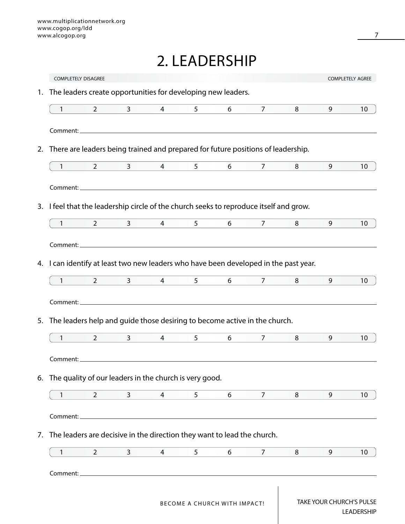### 2. LEADERSHIP

|              | <b>COMPLETELY DISAGREE</b>                                                           |                      |                |                |                              |                                  |   |                                 | COMPLETELY AGREE  |
|--------------|--------------------------------------------------------------------------------------|----------------------|----------------|----------------|------------------------------|----------------------------------|---|---------------------------------|-------------------|
| 1.           | The leaders create opportunities for developing new leaders.                         |                      |                |                |                              |                                  |   |                                 |                   |
|              |                                                                                      |                      |                |                |                              |                                  |   |                                 |                   |
| $\mathbf{1}$ | $2^{\circ}$                                                                          | 3 <sup>7</sup>       | $\overline{4}$ | 5              | 6                            | $\overline{7}$                   | 8 | 9                               | 10                |
|              |                                                                                      |                      |                |                |                              |                                  |   |                                 |                   |
| 2.           | There are leaders being trained and prepared for future positions of leadership.     |                      |                |                |                              |                                  |   |                                 |                   |
| $1$ and $1$  | $2 \left( \frac{1}{2} \right)$                                                       | $3^{\circ}$          | $\overline{4}$ | 5 <sup>5</sup> | $6\overline{6}$              | $7 \quad \overline{\phantom{1}}$ | 8 | 9                               | 10                |
|              |                                                                                      |                      |                |                |                              |                                  |   |                                 |                   |
| 3.           | I feel that the leadership circle of the church seeks to reproduce itself and grow.  |                      |                |                |                              |                                  |   |                                 |                   |
| $\mathbf{1}$ | $\overline{2}$                                                                       | $3 \quad \quad \Box$ | $\overline{4}$ | 5 <sup>1</sup> | 6                            | 7 <sup>7</sup>                   | 8 | 9                               | 10 <sup>°</sup>   |
|              |                                                                                      |                      |                |                |                              |                                  |   |                                 |                   |
|              |                                                                                      |                      |                |                |                              |                                  |   |                                 |                   |
|              | 4. I can identify at least two new leaders who have been developed in the past year. |                      |                |                |                              |                                  |   |                                 |                   |
| $\mathbf{1}$ | $2^{\circ}$                                                                          | $3 \quad \qquad$     | $\overline{4}$ | 5 <sup>5</sup> | $6\overline{6}$              | 7                                | 8 | 9                               | 10                |
|              |                                                                                      |                      |                |                |                              |                                  |   |                                 |                   |
| 5.           | The leaders help and guide those desiring to become active in the church.            |                      |                |                |                              |                                  |   |                                 |                   |
| $\mathbf{1}$ | $\overline{2}$                                                                       | $\mathbf{3}$         | 4              | 5              | 6                            | $7^{\circ}$                      | 8 | 9                               | 10                |
|              |                                                                                      |                      |                |                |                              |                                  |   |                                 |                   |
| Comment:     |                                                                                      |                      |                |                |                              |                                  |   |                                 |                   |
|              | 6. The quality of our leaders in the church is very good.                            |                      |                |                |                              |                                  |   |                                 |                   |
| 1            | $\overline{2}$                                                                       | 3                    | 4              | 5              | 6                            | 7                                | 8 | 9                               | 10                |
| Comment:     |                                                                                      |                      |                |                |                              |                                  |   |                                 |                   |
| 7.           | The leaders are decisive in the direction they want to lead the church.              |                      |                |                |                              |                                  |   |                                 |                   |
| 1            | $\overline{2}$                                                                       | $\mathbf{3}$         | 4              | 5              | 6                            | 7                                | 8 | 9                               | 10                |
| Comment:_    |                                                                                      |                      |                |                |                              |                                  |   |                                 |                   |
|              |                                                                                      |                      |                |                |                              |                                  |   |                                 |                   |
|              |                                                                                      |                      |                |                | BECOME A CHURCH WITH IMPACT! |                                  |   | <b>TAKE YOUR CHURCH'S PULSE</b> |                   |
|              |                                                                                      |                      |                |                |                              |                                  |   |                                 | <b>LEADERSHIP</b> |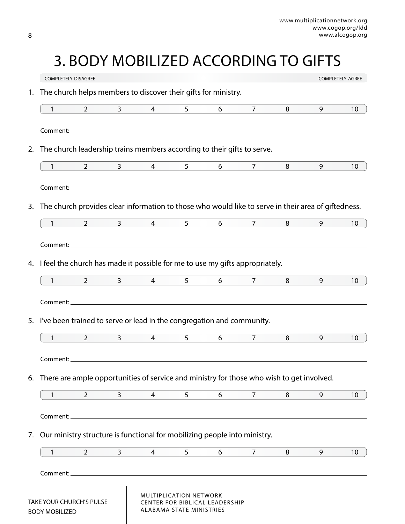# 3. BODY MOBILIZED ACCORDING TO GIFTS

|    | <b>COMPLETELY DISAGREE</b>                                                                          |                |                        |                 |                                                    |                                       |                    |   |   | <b>COMPLETELY AGREE</b> |
|----|-----------------------------------------------------------------------------------------------------|----------------|------------------------|-----------------|----------------------------------------------------|---------------------------------------|--------------------|---|---|-------------------------|
| 1. | The church helps members to discover their gifts for ministry.                                      |                |                        |                 |                                                    |                                       |                    |   |   |                         |
|    | $1 \qquad \qquad$                                                                                   | $\overline{2}$ | $3 \quad \blacksquare$ | $4\overline{ }$ | $5^{\circ}$                                        | $6\overline{)}$                       | $7 \quad \bullet$  | 8 | 9 | 10                      |
|    |                                                                                                     |                |                        |                 |                                                    |                                       |                    |   |   |                         |
|    | 2. The church leadership trains members according to their gifts to serve.                          |                |                        |                 |                                                    |                                       |                    |   |   |                         |
|    | $\mathbf{1}$                                                                                        | $\overline{2}$ | $\mathbf{3}$           | $\overline{4}$  | 5 <sup>1</sup>                                     | 6                                     | 7 <sup>7</sup>     | 8 | 9 | 10                      |
|    |                                                                                                     |                |                        |                 |                                                    |                                       |                    |   |   |                         |
| 3. | The church provides clear information to those who would like to serve in their area of giftedness. |                |                        |                 |                                                    |                                       |                    |   |   |                         |
|    | $\mathbf{1}$                                                                                        | $2^{\circ}$    | $3 \qquad -$           | $\overline{4}$  | $5^{\circ}$                                        | 6                                     | $\overline{7}$     | 8 | 9 | 10                      |
|    |                                                                                                     |                |                        |                 |                                                    |                                       |                    |   |   |                         |
|    |                                                                                                     |                |                        |                 |                                                    |                                       |                    |   |   |                         |
| 4. | I feel the church has made it possible for me to use my gifts appropriately.                        |                |                        |                 |                                                    |                                       |                    |   |   |                         |
|    | $1$ and $1$ and $1$                                                                                 |                |                        | $2 \t 3 \t 4$   | 5 <sup>7</sup>                                     |                                       | $6\qquad \qquad 7$ | 8 | 9 | 10 <sup>°</sup>         |
|    |                                                                                                     |                |                        |                 |                                                    |                                       |                    |   |   |                         |
| 5. | I've been trained to serve or lead in the congregation and community.                               |                |                        |                 |                                                    |                                       |                    |   |   |                         |
|    | $\mathbf{1}$                                                                                        | $2^{\circ}$    | $\mathbf{3}$           | $\overline{4}$  | 5 <sup>1</sup>                                     | 6                                     | $7^{\circ}$        | 8 | 9 | 10                      |
|    |                                                                                                     |                |                        |                 |                                                    |                                       |                    |   |   |                         |
|    | 6. There are ample opportunities of service and ministry for those who wish to get involved.        |                |                        |                 |                                                    |                                       |                    |   |   |                         |
|    | 1                                                                                                   | $\overline{2}$ | $\overline{3}$         | 4               | 5                                                  | 6                                     | 7                  | 8 | 9 | 10                      |
|    | Comment:                                                                                            |                |                        |                 |                                                    |                                       |                    |   |   |                         |
| 7. | Our ministry structure is functional for mobilizing people into ministry.                           |                |                        |                 |                                                    |                                       |                    |   |   |                         |
|    | 1                                                                                                   | $\overline{2}$ | 3                      | 4               | 5                                                  | 6                                     | 7                  | 8 | 9 | 10                      |
|    |                                                                                                     |                |                        |                 |                                                    |                                       |                    |   |   |                         |
|    | Comment:_                                                                                           |                |                        |                 |                                                    |                                       |                    |   |   |                         |
|    | <b>TAKE YOUR CHURCH'S PULSE</b><br><b>BODY MOBILIZED</b>                                            |                |                        |                 | MULTIPLICATION NETWORK<br>ALABAMA STATE MINISTRIES | <b>CENTER FOR BIBLICAL LEADERSHIP</b> |                    |   |   |                         |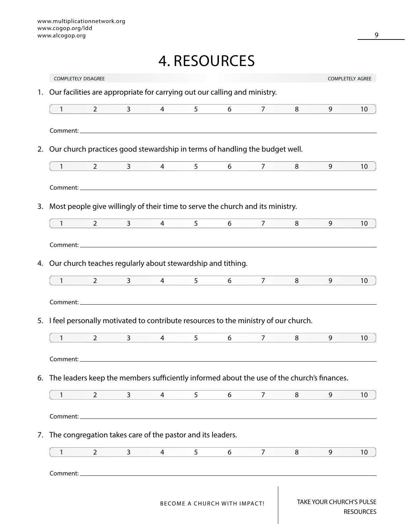# 4. RESOURCES

|                | <b>COMPLETELY DISAGREE</b>                                                                    |                                                                                           |                 |                |                              |                                  |   |                          | COMPLETELY AGREE |
|----------------|-----------------------------------------------------------------------------------------------|-------------------------------------------------------------------------------------------|-----------------|----------------|------------------------------|----------------------------------|---|--------------------------|------------------|
| 1.             | Our facilities are appropriate for carrying out our calling and ministry.                     |                                                                                           |                 |                |                              |                                  |   |                          |                  |
| $\mathbf{1}$   | $2 \qquad \qquad$                                                                             | $3 \qquad \qquad$                                                                         | $\overline{4}$  | 5 <sup>1</sup> | $6\qquad \qquad$             | $7$ and $7$                      | 8 | 9                        | 10 <sup>°</sup>  |
|                |                                                                                               |                                                                                           |                 |                |                              |                                  |   |                          |                  |
| 2.             | Our church practices good stewardship in terms of handling the budget well.                   |                                                                                           |                 |                |                              |                                  |   |                          |                  |
| $1$ and $\sim$ | $\overline{2}$                                                                                | $3 \quad \blacksquare$                                                                    | $4\overline{ }$ | 5 <sup>7</sup> | 6                            | $7 \quad \overline{\phantom{1}}$ | 8 | 9                        | 10 <sup>°</sup>  |
|                |                                                                                               |                                                                                           |                 |                |                              |                                  |   |                          |                  |
| 3.             | Most people give willingly of their time to serve the church and its ministry.                |                                                                                           |                 |                |                              |                                  |   |                          |                  |
| $1 -$          | $2 \left( \frac{1}{2} \right)$                                                                | $3 \qquad -$                                                                              | $\overline{4}$  | 5 <sup>5</sup> | 6                            | 7 <sup>7</sup>                   | 8 | 9                        | 10               |
|                |                                                                                               |                                                                                           |                 |                |                              |                                  |   |                          |                  |
|                | 4. Our church teaches regularly about stewardship and tithing.                                |                                                                                           |                 |                |                              |                                  |   |                          |                  |
| $\mathbf{1}$   | $\overline{2}$                                                                                | $3 \sim 3$                                                                                | $\overline{4}$  | 5              | 6                            | 7 <sup>7</sup>                   | 8 | 9                        | 10               |
|                |                                                                                               |                                                                                           |                 |                |                              |                                  |   |                          |                  |
|                | 5. I feel personally motivated to contribute resources to the ministry of our church.         |                                                                                           |                 |                |                              |                                  |   |                          |                  |
| $\mathbf{1}$   | $\overline{2}$                                                                                | $\mathbf{3}$                                                                              | 4               | 5              | 6                            | $\overline{7}$                   | 8 | 9                        | 10 <sup>1</sup>  |
| Comment:       |                                                                                               |                                                                                           |                 |                |                              |                                  |   |                          |                  |
|                | 6. The leaders keep the members sufficiently informed about the use of the church's finances. |                                                                                           |                 |                |                              |                                  |   |                          |                  |
| $\mathbf{1}$   | $\overline{2}$                                                                                | $\mathbf{3}$                                                                              | 4               | 5              | 6                            | 7                                | 8 | 9                        | 10               |
| Comment:       |                                                                                               |                                                                                           |                 |                |                              |                                  |   |                          |                  |
|                | 7. The congregation takes care of the pastor and its leaders.                                 |                                                                                           |                 |                |                              |                                  |   |                          |                  |
| 1              | $\overline{2}$                                                                                | 3                                                                                         | 4               | 5              | 6                            | 7                                | 8 | 9                        | 10               |
| Comment:       |                                                                                               | the control of the control of the control of the control of the control of the control of |                 |                |                              |                                  |   |                          |                  |
|                |                                                                                               |                                                                                           |                 |                |                              |                                  |   |                          |                  |
|                |                                                                                               |                                                                                           |                 |                | BECOME A CHURCH WITH IMPACT! |                                  |   | TAKE YOUR CHURCH'S PULSE |                  |

RESOURCES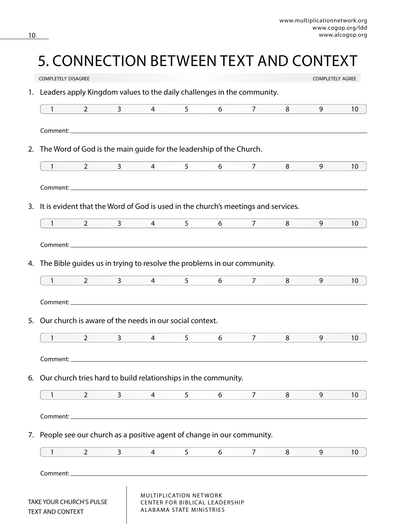# 5. CONNECTION BETWEEN TEXT AND CONTEXT

|    | <b>COMPLETELY DISAGREE</b>                                                        |                                |                        |                 |                                                           |                                |                   |   | <b>COMPLETELY AGREE</b> |                 |
|----|-----------------------------------------------------------------------------------|--------------------------------|------------------------|-----------------|-----------------------------------------------------------|--------------------------------|-------------------|---|-------------------------|-----------------|
| 1. | Leaders apply Kingdom values to the daily challenges in the community.            |                                |                        |                 |                                                           |                                |                   |   |                         |                 |
|    | $\mathbf{1}$                                                                      | $2^{\circ}$                    | $3 \qquad -$           | $\overline{4}$  | 5 <sup>1</sup>                                            | 6                              | $7^{\circ}$       | 8 | 9                       | 10              |
|    |                                                                                   |                                |                        |                 |                                                           |                                |                   |   |                         |                 |
| 2. | The Word of God is the main guide for the leadership of the Church.               |                                |                        |                 |                                                           |                                |                   |   |                         |                 |
|    | $1 \qquad \qquad$                                                                 | $\overline{2}$                 |                        | $3 \t 4$        | 5                                                         | 6                              | $7 \quad \circ$   | 8 | 9                       | 10              |
|    |                                                                                   |                                |                        |                 |                                                           |                                |                   |   |                         |                 |
| 3. | It is evident that the Word of God is used in the church's meetings and services. |                                |                        |                 |                                                           |                                |                   |   |                         |                 |
|    | $\mathbf{1}$                                                                      | $2 \left( \frac{1}{2} \right)$ | $3 \qquad \qquad$      | $\overline{4}$  | 5 <sup>1</sup>                                            | 6                              | 7                 | 8 | 9                       | 10              |
|    |                                                                                   |                                |                        |                 |                                                           |                                |                   |   |                         |                 |
| 4. | The Bible guides us in trying to resolve the problems in our community.           |                                |                        |                 |                                                           |                                |                   |   |                         |                 |
|    | $1 \qquad \qquad$                                                                 |                                |                        | $2 \t 3 \t 4$   | 5 <sup>7</sup>                                            | $6\degree$                     | $7 \quad \bullet$ | 8 | 9                       | 10 <sup>°</sup> |
|    |                                                                                   |                                |                        |                 |                                                           |                                |                   |   |                         |                 |
| 5. | Our church is aware of the needs in our social context.                           |                                |                        |                 |                                                           |                                |                   |   |                         |                 |
|    | $\mathbf{1}$                                                                      | $2^{\circ}$                    | $3 \quad \blacksquare$ | $4\overline{ }$ | 5                                                         | 6                              | $\overline{7}$    | 8 | 9                       | 10              |
|    |                                                                                   |                                |                        |                 |                                                           |                                |                   |   |                         |                 |
|    |                                                                                   |                                |                        |                 |                                                           |                                |                   |   |                         |                 |
|    | 6. Our church tries hard to build relationships in the community.                 |                                |                        |                 |                                                           |                                |                   |   |                         |                 |
|    | 1                                                                                 | $\overline{2}$                 | $\mathsf{3}$           | 4               | 5                                                         | 6                              | $\overline{7}$    | 8 | 9                       | 10 <sup>°</sup> |
|    | Comment:                                                                          |                                |                        |                 |                                                           |                                |                   |   |                         |                 |
|    | 7. People see our church as a positive agent of change in our community.          |                                |                        |                 |                                                           |                                |                   |   |                         |                 |
|    | 1                                                                                 | $\overline{2}$                 | 3                      | 4               | 5                                                         | 6                              | $\overline{7}$    | 8 | 9                       | 10              |
|    | Comment:                                                                          |                                |                        |                 |                                                           |                                |                   |   |                         |                 |
|    | <b>TAKE YOUR CHURCH'S PULSE</b><br>TEXT AND CONTEXT                               |                                |                        |                 | MULTIPLICATION NETWORK<br><b>ALABAMA STATE MINISTRIES</b> | CENTER FOR BIBLICAL LEADERSHIP |                   |   |                         |                 |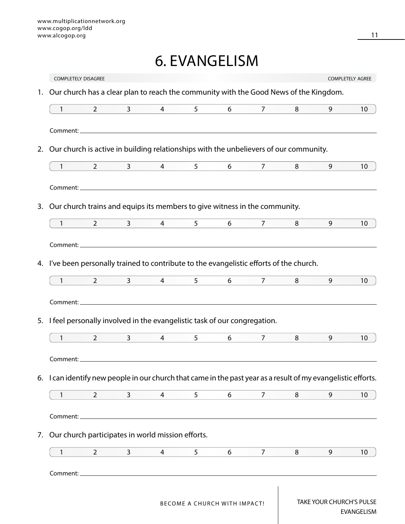## 6. EVANGELISM

|                | <b>COMPLETELY DISAGREE</b>                                                                                    |                |                |                |                              |                                  |   |                                 | <b>COMPLETELY AGREE</b> |
|----------------|---------------------------------------------------------------------------------------------------------------|----------------|----------------|----------------|------------------------------|----------------------------------|---|---------------------------------|-------------------------|
| 1.             | Our church has a clear plan to reach the community with the Good News of the Kingdom.                         |                |                |                |                              |                                  |   |                                 |                         |
| $\mathbf{1}$   | $2^{\circ}$                                                                                                   | 3 <sup>7</sup> | $\overline{4}$ | 5 <sup>1</sup> | 6                            | 7 <sup>7</sup>                   | 8 | 9                               | 10 <sup>°</sup>         |
|                |                                                                                                               |                |                |                |                              |                                  |   |                                 |                         |
| 2.             | Our church is active in building relationships with the unbelievers of our community.                         |                |                |                |                              |                                  |   |                                 |                         |
| $1$ and $\sim$ | $2 \left( \frac{1}{2} \right)$                                                                                |                | $3 \t 4$       | $5^{\circ}$    | $6\overline{6}$              | $7 \quad \overline{\phantom{1}}$ | 8 | 9                               | 10 <sup>°</sup>         |
|                |                                                                                                               |                |                |                |                              |                                  |   |                                 |                         |
|                | 3. Our church trains and equips its members to give witness in the community.                                 |                |                |                |                              |                                  |   |                                 |                         |
| 1              | $2 \left( \frac{1}{2} \right)$                                                                                |                | $3 \t 4$       | 5 <sup>7</sup> | $6 \qquad \qquad$            | $7 \quad \bullet$                | 8 | 9                               | 10 <sup>°</sup>         |
|                |                                                                                                               |                |                |                |                              |                                  |   |                                 |                         |
|                | 4. I've been personally trained to contribute to the evangelistic efforts of the church.                      |                |                |                |                              |                                  |   |                                 |                         |
| 1              | $\overline{2}$                                                                                                | $3 \quad -$    | $\overline{4}$ | 5 <sup>7</sup> | $6\overline{6}$              | $7 \quad \overline{\phantom{1}}$ | 8 | 9                               | 10                      |
| $\mathbf{1}$   | 5. I feel personally involved in the evangelistic task of our congregation.<br>$\overline{2}$                 | 3              | $\overline{4}$ | 5              | 6                            | $\overline{7}$                   | 8 | 9                               | 10 <sup>1</sup>         |
| Comment:       | 6. I can identify new people in our church that came in the past year as a result of my evangelistic efforts. |                |                |                |                              |                                  |   |                                 |                         |
| $\mathbf{1}$   | $\overline{2}$                                                                                                | 3              | 4              | 5              | 6                            | $\overline{7}$                   | 8 | 9                               | 10                      |
| Comment:       |                                                                                                               |                |                |                |                              |                                  |   |                                 |                         |
|                | 7. Our church participates in world mission efforts.                                                          |                |                |                |                              |                                  |   |                                 |                         |
| 1              | $\overline{2}$                                                                                                | 3              | 4              | 5              | 6                            | 7                                | 8 | 9                               | 10                      |
| Comment:       |                                                                                                               |                |                |                |                              |                                  |   |                                 |                         |
|                |                                                                                                               |                |                |                | BECOME A CHURCH WITH IMPACT! |                                  |   | <b>TAKE YOUR CHURCH'S PULSE</b> |                         |

EVANGELISM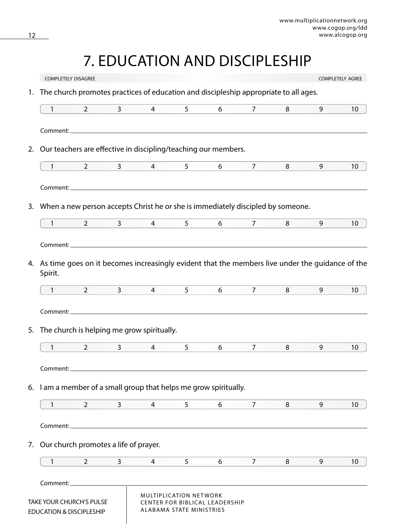# 7. EDUCATION AND DISCIPLESHIP

|    | <b>COMPLETELY DISAGREE</b>                                      |                                |                |                                                                                                                       |                                                    |                                |                |   |   | <b>COMPLETELY AGREE</b> |
|----|-----------------------------------------------------------------|--------------------------------|----------------|-----------------------------------------------------------------------------------------------------------------------|----------------------------------------------------|--------------------------------|----------------|---|---|-------------------------|
| 1. |                                                                 |                                |                | The church promotes practices of education and discipleship appropriate to all ages.                                  |                                                    |                                |                |   |   |                         |
|    | $\mathbf{1}$                                                    | $\overline{2}$                 | $\mathbf{3}$   | $\overline{4}$                                                                                                        | 5                                                  | 6                              | 7 <sup>7</sup> | 8 | 9 | 10 <sup>°</sup>         |
|    |                                                                 |                                |                |                                                                                                                       |                                                    |                                |                |   |   |                         |
|    |                                                                 |                                |                |                                                                                                                       |                                                    |                                |                |   |   |                         |
| 2. |                                                                 |                                |                | Our teachers are effective in discipling/teaching our members.                                                        |                                                    |                                |                |   |   |                         |
|    | $\mathbf{1}$                                                    | $2^{\circ}$                    | 3 <sup>7</sup> | 4                                                                                                                     | 5 <sup>1</sup>                                     | 6                              | $\overline{7}$ | 8 | 9 | 10                      |
|    |                                                                 |                                |                |                                                                                                                       |                                                    |                                |                |   |   |                         |
|    |                                                                 |                                |                | 3. When a new person accepts Christ he or she is immediately discipled by someone.                                    |                                                    |                                |                |   |   |                         |
|    | $\mathbf{1}$                                                    | $\overline{2}$                 | 3              | $\overline{4}$                                                                                                        | 5                                                  | 6                              | $\overline{7}$ | 8 | 9 | 10                      |
|    |                                                                 |                                |                |                                                                                                                       |                                                    |                                |                |   |   |                         |
|    |                                                                 |                                |                | 4. As time goes on it becomes increasingly evident that the members live under the guidance of the                    |                                                    |                                |                |   |   |                         |
|    | Spirit.                                                         |                                |                |                                                                                                                       |                                                    |                                |                |   |   |                         |
|    | 1                                                               | $2 \left( \frac{1}{2} \right)$ |                | $3 \quad \blacksquare$<br>$4 \quad$                                                                                   | 5 <sup>1</sup>                                     | 6                              | 7              | 8 | 9 | 10 <sup>°</sup>         |
|    |                                                                 |                                |                |                                                                                                                       |                                                    |                                |                |   |   |                         |
| 5. |                                                                 |                                |                | The church is helping me grow spiritually.                                                                            |                                                    |                                |                |   |   |                         |
|    | $\mathbf{1}$                                                    | $\overline{2}$                 | $\mathbf{3}$   | $\overline{4}$                                                                                                        | 5                                                  | 6                              | $\overline{7}$ | 8 | 9 | 10                      |
|    | Comment:                                                        |                                |                |                                                                                                                       |                                                    |                                |                |   |   |                         |
| 6. |                                                                 |                                |                | I am a member of a small group that helps me grow spiritually.                                                        |                                                    |                                |                |   |   |                         |
|    | 1                                                               | $\overline{2}$                 | $\overline{3}$ | $\overline{4}$                                                                                                        | 5                                                  | 6                              | $\overline{7}$ | 8 | 9 | 10                      |
|    | Comment:_                                                       |                                |                | <u> 1989 - Johann Stoff, deutscher Stoff, der Stoff, der Stoff, der Stoff, der Stoff, der Stoff, der Stoff, der S</u> |                                                    |                                |                |   |   |                         |
|    | 7. Our church promotes a life of prayer.                        |                                |                |                                                                                                                       |                                                    |                                |                |   |   |                         |
|    | 1                                                               | $\overline{2}$                 | 3              | 4                                                                                                                     | 5                                                  | 6                              | $\overline{7}$ | 8 | 9 | 10                      |
|    | Comment:_                                                       |                                |                |                                                                                                                       |                                                    |                                |                |   |   |                         |
|    | TAKE YOUR CHURCH'S PULSE<br><b>EDUCATION &amp; DISCIPLESHIP</b> |                                |                |                                                                                                                       | MULTIPLICATION NETWORK<br>ALABAMA STATE MINISTRIES | CENTER FOR BIBLICAL LEADERSHIP |                |   |   |                         |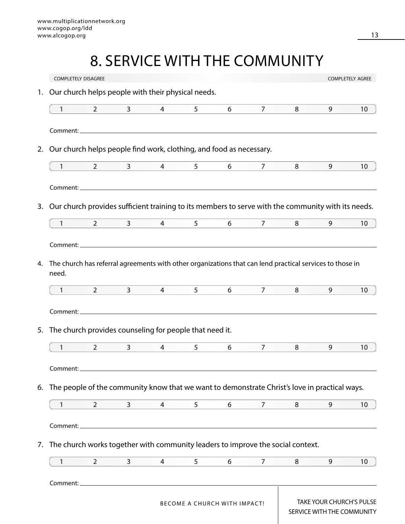# 8. SERVICE WITH THE COMMUNITY

|                      | <b>COMPLETELY DISAGREE</b>                                                |                                                                                                                      |                |                |                              |                |                                                                                                          |                                                        | <b>COMPLETELY AGREE</b> |
|----------------------|---------------------------------------------------------------------------|----------------------------------------------------------------------------------------------------------------------|----------------|----------------|------------------------------|----------------|----------------------------------------------------------------------------------------------------------|--------------------------------------------------------|-------------------------|
| 1.                   | Our church helps people with their physical needs.                        |                                                                                                                      |                |                |                              |                |                                                                                                          |                                                        |                         |
| $\mathbf{1}$         | $\overline{2}$                                                            | $\mathbf{3}$                                                                                                         | 4              | 5              | 6                            | $\overline{7}$ | 8                                                                                                        | 9                                                      | 10                      |
|                      |                                                                           |                                                                                                                      |                |                |                              |                |                                                                                                          |                                                        |                         |
| 2.                   | Our church helps people find work, clothing, and food as necessary.       |                                                                                                                      |                |                |                              |                |                                                                                                          |                                                        |                         |
| $\mathbf{1}$         | 2                                                                         | 3 <sup>7</sup>                                                                                                       | $\overline{4}$ | 5              | 6                            | $\overline{7}$ | 8                                                                                                        | 9                                                      | 10                      |
|                      |                                                                           |                                                                                                                      |                |                |                              |                |                                                                                                          |                                                        |                         |
| 3.                   |                                                                           |                                                                                                                      |                |                |                              |                | Our church provides sufficient training to its members to serve with the community with its needs.       |                                                        |                         |
| $\mathbf{1}$         | $\overline{2}$                                                            | $\mathbf{3}$                                                                                                         | $\overline{4}$ | 5 <sup>1</sup> | 6                            | $\overline{7}$ | 8                                                                                                        | 9                                                      | 10                      |
|                      |                                                                           |                                                                                                                      |                |                |                              |                |                                                                                                          |                                                        |                         |
| 4.<br>need.          |                                                                           |                                                                                                                      |                |                |                              |                | The church has referral agreements with other organizations that can lend practical services to those in |                                                        |                         |
| 1                    | $2^{\circ}$                                                               | 3                                                                                                                    | 4              | 5              | 6                            | $7^{\circ}$    | 8                                                                                                        | 9                                                      | 10                      |
| Comment:_<br>5.<br>1 | The church provides counseling for people that need it.<br>$\overline{2}$ | $\overline{3}$                                                                                                       | 4              | 5              | 6                            | $\overline{7}$ | 8                                                                                                        | 9                                                      | 10                      |
|                      |                                                                           |                                                                                                                      |                |                |                              |                |                                                                                                          |                                                        |                         |
|                      |                                                                           |                                                                                                                      |                |                |                              |                | 6. The people of the community know that we want to demonstrate Christ's love in practical ways.         |                                                        |                         |
| $\mathbf{1}$         | $\overline{2}$                                                            | 3                                                                                                                    | $\overline{4}$ | 5              | 6                            | 7              | 8                                                                                                        | 9                                                      | 10                      |
| Comment:_            |                                                                           | <u> 1980 - Johann Stein, marwolaethau a bhann an t-Amhair ann an t-Amhair an t-Amhair an t-Amhair an t-Amhair an</u> |                |                |                              |                |                                                                                                          |                                                        |                         |
|                      |                                                                           |                                                                                                                      |                |                |                              |                | 7. The church works together with community leaders to improve the social context.                       |                                                        |                         |
| $\mathbf{1}$         | $\overline{2}$                                                            | 3                                                                                                                    | 4              | 5              | 6                            | 7              | 8                                                                                                        | 9                                                      | 10                      |
|                      |                                                                           |                                                                                                                      |                |                |                              |                |                                                                                                          |                                                        |                         |
|                      |                                                                           |                                                                                                                      |                |                | BECOME A CHURCH WITH IMPACT! |                |                                                                                                          | TAKE YOUR CHURCH'S PULSE<br>SERVICE WITH THE COMMUNITY |                         |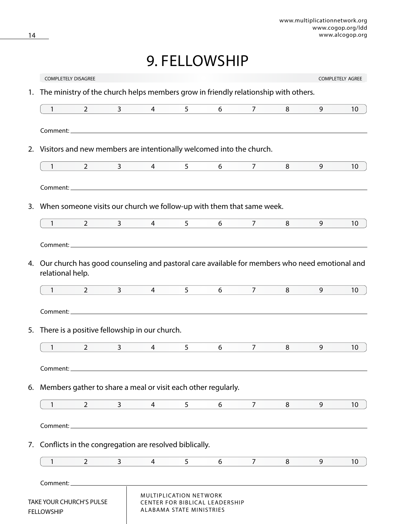### 9. FELLOWSHIP

|    | <b>COMPLETELY DISAGREE</b>                           |                |                |                                                                                                  |                                                    |                                |                        |   |   | <b>COMPLETELY AGREE</b> |
|----|------------------------------------------------------|----------------|----------------|--------------------------------------------------------------------------------------------------|----------------------------------------------------|--------------------------------|------------------------|---|---|-------------------------|
| 1. |                                                      |                |                | The ministry of the church helps members grow in friendly relationship with others.              |                                                    |                                |                        |   |   |                         |
|    | $\mathbf{1}$                                         | $\overline{2}$ | $\mathbf{3}$   | $\overline{4}$                                                                                   | 5 <sup>1</sup>                                     | 6                              | $\overline{7}$         | 8 | 9 | 10                      |
|    |                                                      |                |                |                                                                                                  |                                                    |                                |                        |   |   |                         |
|    |                                                      |                |                | 2. Visitors and new members are intentionally welcomed into the church.                          |                                                    |                                |                        |   |   |                         |
|    | $1 \qquad \qquad$                                    | $\mathbf{2}$   | $\overline{3}$ | $\overline{4}$                                                                                   | 5 <sup>5</sup>                                     | 6                              | $\overline{7}$         | 8 | 9 | 10                      |
|    |                                                      |                |                |                                                                                                  |                                                    |                                |                        |   |   |                         |
| 3. |                                                      |                |                | When someone visits our church we follow-up with them that same week.                            |                                                    |                                |                        |   |   |                         |
|    | $1 \t2 \t3$                                          |                |                | $\overline{4}$                                                                                   | $5^{\circ}$                                        |                                | $6\qquad 7\qquad$      | 8 | 9 | 10 <sup>°</sup>         |
|    |                                                      |                |                |                                                                                                  |                                                    |                                |                        |   |   |                         |
|    |                                                      |                |                |                                                                                                  |                                                    |                                |                        |   |   |                         |
|    | relational help.                                     |                |                | 4. Our church has good counseling and pastoral care available for members who need emotional and |                                                    |                                |                        |   |   |                         |
|    | $1$ and $1$                                          | $\overline{2}$ |                | $3^{\circ}$<br>$4\overline{ }$                                                                   | 5 <sup>1</sup>                                     | 6                              | $7 \qquad \qquad \Box$ | 8 | 9 | 10                      |
|    |                                                      |                |                |                                                                                                  |                                                    |                                |                        |   |   |                         |
|    |                                                      |                |                | 5. There is a positive fellowship in our church.                                                 |                                                    |                                |                        |   |   |                         |
|    | $\mathbf{1}$                                         | 2              | 3              | 4                                                                                                | 5                                                  | 6                              | $\overline{7}$         | 8 | 9 | 10                      |
|    | Comment:_                                            |                |                |                                                                                                  |                                                    |                                |                        |   |   |                         |
|    |                                                      |                |                | 6. Members gather to share a meal or visit each other regularly.                                 |                                                    |                                |                        |   |   |                         |
|    | 1                                                    | $\overline{2}$ | 3              | 4                                                                                                | 5                                                  | 6                              | $\overline{7}$         | 8 | 9 | 10                      |
|    |                                                      |                |                |                                                                                                  |                                                    |                                |                        |   |   |                         |
|    |                                                      |                |                | 7. Conflicts in the congregation are resolved biblically.                                        |                                                    |                                |                        |   |   |                         |
|    | 1                                                    | $\overline{2}$ | $\mathbf{3}$   | 4                                                                                                | 5                                                  | 6                              | 7                      | 8 | 9 | 10                      |
|    |                                                      |                |                |                                                                                                  |                                                    |                                |                        |   |   |                         |
|    | <b>TAKE YOUR CHURCH'S PULSE</b><br><b>FELLOWSHIP</b> |                |                |                                                                                                  | MULTIPLICATION NETWORK<br>ALABAMA STATE MINISTRIES | CENTER FOR BIBLICAL LEADERSHIP |                        |   |   |                         |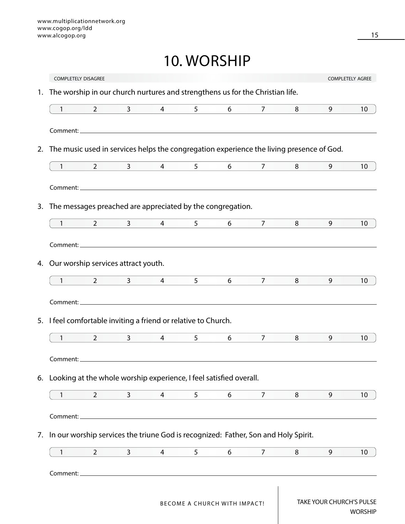### 10. WORSHIP

|                   | <b>COMPLETELY DISAGREE</b>                                                                              |                  |                 |                |                 |                   |   |   | <b>COMPLETELY AGREE</b> |
|-------------------|---------------------------------------------------------------------------------------------------------|------------------|-----------------|----------------|-----------------|-------------------|---|---|-------------------------|
| 1.                | The worship in our church nurtures and strengthens us for the Christian life.                           |                  |                 |                |                 |                   |   |   |                         |
| $\mathbf{1}$      | $\overline{2}$                                                                                          | $\mathbf{3}$     | $\overline{4}$  | 5 <sup>5</sup> | 6               | 7                 | 8 | 9 | 10                      |
|                   |                                                                                                         |                  |                 |                |                 |                   |   |   |                         |
| 2.                | The music used in services helps the congregation experience the living presence of God.                |                  |                 |                |                 |                   |   |   |                         |
| $1 \qquad \qquad$ | $\overline{2}$                                                                                          | $3 \quad \qquad$ | $4\overline{ }$ | 5 <sup>7</sup> | $6\overline{6}$ | $7 \quad \bullet$ | 8 | 9 | 10                      |
|                   |                                                                                                         |                  |                 |                |                 |                   |   |   |                         |
| 3.                | The messages preached are appreciated by the congregation.                                              |                  |                 |                |                 |                   |   |   |                         |
| $\mathbf{1}$      | $\overline{2}$                                                                                          | $3 \sim 3$       | $\overline{4}$  | 5 <sup>5</sup> | 6               | $\overline{7}$    | 8 | 9 | 10                      |
|                   |                                                                                                         |                  |                 |                |                 |                   |   |   |                         |
|                   | 4. Our worship services attract youth.                                                                  |                  |                 |                |                 |                   |   |   |                         |
| $\mathbf{1}$      | $2 \left( \frac{1}{2} \right)$                                                                          | 3 <sup>7</sup>   | $\overline{4}$  | 5              | 6               | $\overline{7}$    | 8 | 9 | 10                      |
|                   |                                                                                                         |                  |                 |                |                 |                   |   |   |                         |
|                   | 5. I feel comfortable inviting a friend or relative to Church.                                          |                  |                 |                |                 |                   |   |   |                         |
|                   |                                                                                                         |                  | $\overline{4}$  | 5 <sup>1</sup> | 6               | 7 <sup>7</sup>    | 8 | 9 | 10                      |
| $\mathbf{1}$      | $\overline{2}$                                                                                          | 3 <sup>7</sup>   |                 |                |                 |                   |   |   |                         |
| Comment:_         |                                                                                                         |                  |                 |                |                 |                   |   |   |                         |
|                   |                                                                                                         |                  |                 |                |                 |                   |   |   |                         |
| $\mathbf{1}$      | 6. Looking at the whole worship experience, I feel satisfied overall.<br>$\overline{2}$                 | $\mathbf{3}$     | 4               | 5              | 6               | $\overline{7}$    | 8 | 9 |                         |
|                   |                                                                                                         |                  |                 |                |                 |                   |   |   |                         |
| Comment:_         |                                                                                                         |                  |                 |                |                 |                   |   |   |                         |
| 1                 | 7. In our worship services the triune God is recognized: Father, Son and Holy Spirit.<br>$\overline{2}$ | $\mathbf{3}$     | 4               | 5              | 6               | $\overline{7}$    | 8 | 9 | 10 <sup>°</sup><br>10   |
| Comment:_         |                                                                                                         |                  |                 |                |                 |                   |   |   |                         |

WORSHIP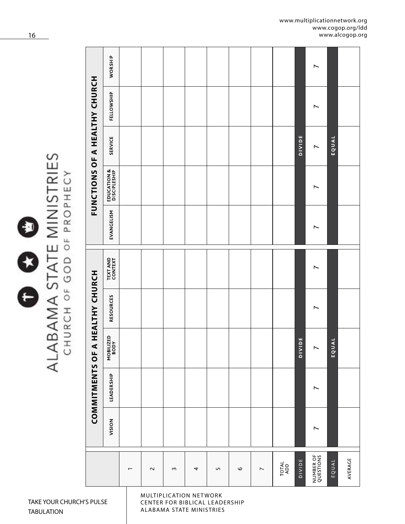| ≒<br>$\overline{\phantom{0}}$<br>I |
|------------------------------------|
| Ē                                  |
| È                                  |
|                                    |
|                                    |

# ALABAMA STATE MINISTRIES<br>CHURCH OF GOD OF PROPHECY

|                          |        | COMMITMENTS OF A |                   | <b>HEALTHY CHURCH</b> |                             |                | FUNCTIONS OF A HEALTHY CHURCH |                |            |         |
|--------------------------|--------|------------------|-------------------|-----------------------|-----------------------------|----------------|-------------------------------|----------------|------------|---------|
|                          | NOISIV | LEADERSHIP       | MOBILIZED<br>BODY | RESOURCES             | <b>TEXT AND<br/>CONTEXT</b> | EVANGELISM     | EDUCATION &<br>DISCIPLESHIP   | <b>SERVICE</b> | FELLOWSHIP | WORSHIP |
| $\overline{\phantom{0}}$ |        |                  |                   |                       |                             |                |                               |                |            |         |
| $\sim$                   |        |                  |                   |                       |                             |                |                               |                |            |         |
| $\sim$                   |        |                  |                   |                       |                             |                |                               |                |            |         |
| 4                        |        |                  |                   |                       |                             |                |                               |                |            |         |
| LN.                      |        |                  |                   |                       |                             |                |                               |                |            |         |
| $\circ$                  |        |                  |                   |                       |                             |                |                               |                |            |         |
| $\overline{\phantom{a}}$ |        |                  |                   |                       |                             |                |                               |                |            |         |
| TOTAL<br>ADD             |        |                  |                   |                       |                             |                |                               |                |            |         |
| DIVIDE                   |        |                  | <b>DIVIDE</b>     |                       |                             |                |                               | DIVIDE         |            |         |
| NUMBER OF<br>QUESTIONS   | Ľ      | Ľ                | $\overline{ }$    | $\overline{ }$        | Ľ                           | $\overline{ }$ | Ľ                             | $\overline{ }$ | Ľ          | Ľ       |
| EQUAL                    |        |                  | EQUAL             |                       |                             |                |                               | EQUAL          |            |         |
| AVERAGE                  |        |                  |                   |                       |                             |                |                               |                |            |         |

MULTIPLICATION NETWORK CENTER FOR BIBLICAL LEADERSHIP ALABAMA STATE MINISTRIES